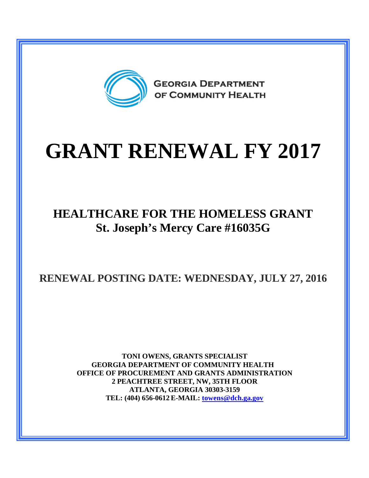

## **GRANT RENEWAL FY 2017**

## **HEALTHCARE FOR THE HOMELESS GRANT St. Joseph's Mercy Care #16035G**

**RENEWAL POSTING DATE: WEDNESDAY, JULY 27, 2016**

**TONI OWENS, GRANTS SPECIALIST GEORGIA DEPARTMENT OF COMMUNITY HEALTH OFFICE OF PROCUREMENT AND GRANTS ADMINISTRATION 2 PEACHTREE STREET, NW, 35TH FLOOR ATLANTA, GEORGIA 30303-3159 TEL: (404) 656-0612 E-MAIL: [towens@dch.ga.gov](mailto:towens@dch.ga.gov)**